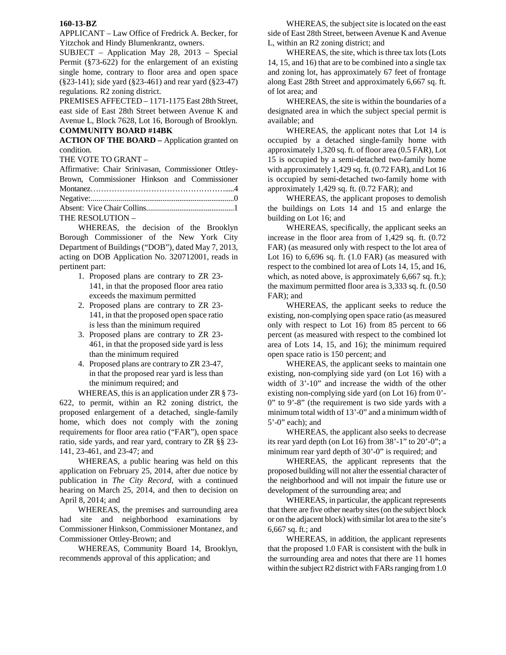## **160-13-BZ**

APPLICANT – Law Office of Fredrick A. Becker, for Yitzchok and Hindy Blumenkrantz, owners.

SUBJECT – Application May 28, 2013 – Special Permit (§73-622) for the enlargement of an existing single home, contrary to floor area and open space (§23-141); side yard (§23-461) and rear yard (§23-47) regulations. R2 zoning district.

PREMISES AFFECTED – 1171-1175 East 28th Street, east side of East 28th Street between Avenue K and Avenue L, Block 7628, Lot 16, Borough of Brooklyn. **COMMUNITY BOARD #14BK** 

**ACTION OF THE BOARD –** Application granted on condition.

THE VOTE TO GRANT –

Affirmative: Chair Srinivasan, Commissioner Ottley-Brown, Commissioner Hinkson and Commissioner Montanez…………………………………………….....4 Negative:...........................................................................0 Absent: Vice Chair Collins..............................................1 THE RESOLUTION –

 WHEREAS, the decision of the Brooklyn Borough Commissioner of the New York City Department of Buildings ("DOB"), dated May 7, 2013, acting on DOB Application No. 320712001, reads in pertinent part:

- 1. Proposed plans are contrary to ZR 23- 141, in that the proposed floor area ratio exceeds the maximum permitted
- 2. Proposed plans are contrary to ZR 23- 141, in that the proposed open space ratio is less than the minimum required
- 3. Proposed plans are contrary to ZR 23- 461, in that the proposed side yard is less than the minimum required
- 4. Proposed plans are contrary to ZR 23-47, in that the proposed rear yard is less than the minimum required; and

WHEREAS, this is an application under ZR § 73-

622, to permit, within an R2 zoning district, the proposed enlargement of a detached, single-family home, which does not comply with the zoning requirements for floor area ratio ("FAR"), open space ratio, side yards, and rear yard, contrary to ZR §§ 23- 141, 23-461, and 23-47; and

WHEREAS, a public hearing was held on this application on February 25, 2014, after due notice by publication in *The City Record*, with a continued hearing on March 25, 2014, and then to decision on April 8, 2014; and

 WHEREAS, the premises and surrounding area had site and neighborhood examinations by Commissioner Hinkson, Commissioner Montanez, and Commissioner Ottley-Brown; and

 WHEREAS, Community Board 14, Brooklyn, recommends approval of this application; and

WHEREAS, the subject site is located on the east side of East 28th Street, between Avenue K and Avenue L, within an R2 zoning district; and

WHEREAS, the site, which is three tax lots (Lots 14, 15, and 16) that are to be combined into a single tax and zoning lot, has approximately 67 feet of frontage along East 28th Street and approximately 6,667 sq. ft. of lot area; and

WHEREAS, the site is within the boundaries of a designated area in which the subject special permit is available; and

WHEREAS, the applicant notes that Lot 14 is occupied by a detached single-family home with approximately 1,320 sq. ft. of floor area (0.5 FAR), Lot 15 is occupied by a semi-detached two-family home with approximately 1,429 sq. ft. (0.72 FAR), and Lot 16 is occupied by semi-detached two-family home with approximately 1,429 sq. ft. (0.72 FAR); and

WHEREAS, the applicant proposes to demolish the buildings on Lots 14 and 15 and enlarge the building on Lot 16; and

WHEREAS, specifically, the applicant seeks an increase in the floor area from of 1,429 sq. ft. (0.72 FAR) (as measured only with respect to the lot area of Lot 16) to  $6,696$  sq. ft.  $(1.0 \text{ FAR})$  (as measured with respect to the combined lot area of Lots 14, 15, and 16, which, as noted above, is approximately 6,667 sq. ft.); the maximum permitted floor area is 3,333 sq. ft. (0.50 FAR); and

WHEREAS, the applicant seeks to reduce the existing, non-complying open space ratio (as measured only with respect to Lot 16) from 85 percent to 66 percent (as measured with respect to the combined lot area of Lots 14, 15, and 16); the minimum required open space ratio is 150 percent; and

WHEREAS, the applicant seeks to maintain one existing, non-complying side yard (on Lot 16) with a width of 3'-10" and increase the width of the other existing non-complying side yard (on Lot 16) from 0'- 0" to 9'-8" (the requirement is two side yards with a minimum total width of 13'-0" and a minimum width of 5'-0" each); and

WHEREAS, the applicant also seeks to decrease its rear yard depth (on Lot 16) from 38'-1" to 20'-0"; a minimum rear yard depth of 30'-0" is required; and

WHEREAS, the applicant represents that the proposed building will not alter the essential character of the neighborhood and will not impair the future use or development of the surrounding area; and

WHEREAS, in particular, the applicant represents that there are five other nearby sites (on the subject block or on the adjacent block) with similar lot area to the site's 6,667 sq. ft.; and

WHEREAS, in addition, the applicant represents that the proposed 1.0 FAR is consistent with the bulk in the surrounding area and notes that there are 11 homes within the subject R2 district with FARs ranging from 1.0